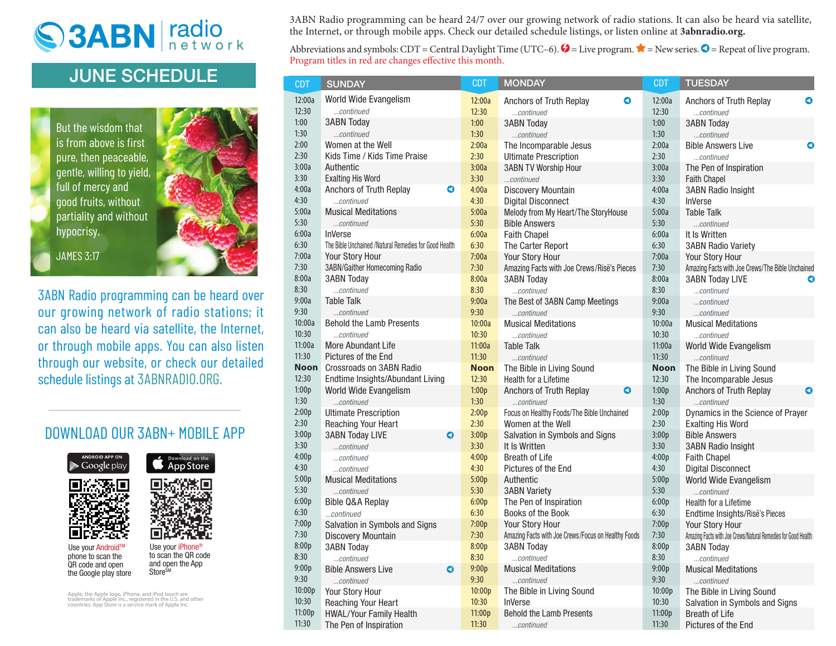## S3ABN radio

## **JUNE SCHEDULE**

But the wisdom that is from above is first pure, then peaceable, gentle, willing to yield, full of mercy and good fruits, without partiality and without hypocrisy.



JAMES 3:17

3ABN Radio programming can be heard over our growing network of radio stations; it can also be heard via satellite, the Internet, or through mobile apps. You can also listen through our website, or check our detailed schedule listings at 3ABNRADIO.ORG.

## DOWNLOAD OUR 3ABN+ MOBILE APP



Use your iPhone to scan the QR code and open the App

QR code and open the Google play store Store<sup>SM</sup>

Apple, the Apple logo, iPhone, and iPod touch are trademarks of Apple Inc., registered in the U.S. and other countries. App Store is a service mark of Apple Inc.

3ABN Radio programming can be heard 24/7 over our growing network of radio stations. It can also be heard via satellite, the Internet, or through mobile apps. Check our detailed schedule listings, or listen online at **3abnradio.org.**

Abbreviations and symbols: CDT = Central Daylight Time (UTC–6).  $\blacklozenge$  = Live program.  $\blacktriangleright$  = New series.  $\blacklozenge$  = Repeat of live program. Program titles in red are changes effective this month.

| <b>CDT</b>    | <b>SUNDAY</b>                                         | <b>CDT</b>    | <b>MONDAY</b>                                                                    | <b>CDT</b>                             | <b>TUESDAY</b>                                                |  |  |
|---------------|-------------------------------------------------------|---------------|----------------------------------------------------------------------------------|----------------------------------------|---------------------------------------------------------------|--|--|
| 12:00a        | World Wide Evangelism                                 | 12:00a        | Anchors of Truth Replay<br>0                                                     | 12:00a                                 | Anchors of Truth Replay<br>0                                  |  |  |
| 12:30         | continued                                             | 12:30         | continued                                                                        | 12:30                                  | continued                                                     |  |  |
| 1:00          | <b>3ABN Today</b>                                     | 1:00          | <b>3ABN Today</b>                                                                | 1:00                                   | <b>3ABN Today</b>                                             |  |  |
| 1:30          | continued                                             | 1:30          | continued                                                                        | 1:30                                   | continued                                                     |  |  |
| 2:00          | Women at the Well                                     | 2:00a         | The Incomparable Jesus                                                           | 2:00a                                  | <b>Bible Answers Live</b><br>0                                |  |  |
| 2:30          | Kids Time / Kids Time Praise                          | 2:30          | <b>Ultimate Prescription</b>                                                     | 2:30                                   | continued                                                     |  |  |
| 3:00a         | Authentic                                             | 3:00a         | <b>3ABN TV Worship Hour</b>                                                      | 3:00a                                  | The Pen of Inspiration                                        |  |  |
| 3:30          | <b>Exalting His Word</b>                              | 3:30          | continued                                                                        | 3:30                                   | <b>Faith Chapel</b>                                           |  |  |
| 4:00a         | Anchors of Truth Replay<br>0                          | 4:00a         | <b>Discovery Mountain</b>                                                        | 4:00a                                  | <b>3ABN Radio Insight</b>                                     |  |  |
| 4:30          | continued                                             | 4:30          | <b>Digital Disconnect</b>                                                        | 4:30                                   | <b>InVerse</b>                                                |  |  |
| 5:00a         | <b>Musical Meditations</b>                            | 5:00a         | Melody from My Heart/The StoryHouse                                              | 5:00a                                  | <b>Table Talk</b>                                             |  |  |
| 5:30          | continued                                             | 5:30          | <b>Bible Answers</b>                                                             | 5:30                                   | continued                                                     |  |  |
| 6:00a         | <b>InVerse</b>                                        | 6:00a         | <b>Faith Chapel</b>                                                              | 6:00a                                  | It Is Written                                                 |  |  |
| 6:30          | The Bible Unchained /Natural Remedies for Good Health | 6:30          | 6:30<br>The Carter Report                                                        |                                        | <b>3ABN Radio Variety</b>                                     |  |  |
| 7:00a         | Your Story Hour                                       | 7:00a         | Your Story Hour<br>7:00a                                                         |                                        | Your Story Hour                                               |  |  |
| 7:30          | 3ABN/Gaither Homecoming Radio                         | 7:30          | 7:30<br>Amazing Facts with Joe Crews/Risë's Pieces                               |                                        | Amazing Facts with Joe Crews/The Bible Unchained              |  |  |
| 8:00a         | <b>3ABN Today</b>                                     | 8:00a         | <b>3ABN Today</b>                                                                | 8:00a                                  | <b>3ABN Today LIVE</b><br>O                                   |  |  |
| 8:30          | continued                                             | 8:30          | 8:30<br>continued                                                                |                                        | continued                                                     |  |  |
| 9:00a         | <b>Table Talk</b>                                     | 9:00a         | The Best of 3ABN Camp Meetings                                                   | 9:00a                                  | continued                                                     |  |  |
| 9:30          | continued                                             | 9:30          | continued                                                                        | 9:30                                   | continued                                                     |  |  |
| 10:00a        | <b>Behold the Lamb Presents</b>                       | 10:00a        | <b>Musical Meditations</b>                                                       | 10:00a                                 | <b>Musical Meditations</b>                                    |  |  |
| 10:30         | continued                                             | 10:30         | continued                                                                        | 10:30                                  | continued                                                     |  |  |
| 11:00a        | <b>More Abundant Life</b>                             | 11:00a        | Table Talk                                                                       | 11:00a                                 | World Wide Evangelism                                         |  |  |
| 11:30         | Pictures of the End                                   | 11:30         | continued                                                                        | 11:30                                  | continued                                                     |  |  |
| <b>Noon</b>   | Crossroads on 3ABN Radio                              | <b>Noon</b>   | The Bible in Living Sound                                                        | <b>Noon</b>                            | The Bible in Living Sound                                     |  |  |
| 12:30         | Endtime Insights/Abundant Living                      | 12:30         | Health for a Lifetime                                                            | 12:30                                  | The Incomparable Jesus                                        |  |  |
| 1:00p<br>1:30 | World Wide Evangelism                                 | 1:00p<br>1:30 | 0<br>Anchors of Truth Replay                                                     | 1:00p<br>1:30                          | Anchors of Truth Replay<br>O                                  |  |  |
| 2:00p         | continued                                             |               | continued                                                                        |                                        | continued                                                     |  |  |
| 2:30          | <b>Ultimate Prescription</b>                          | 2:00p<br>2:30 | Focus on Healthy Foods/The Bible Unchained<br>2:00p<br>Women at the Well<br>2:30 |                                        | Dynamics in the Science of Prayer                             |  |  |
| 3:00p         | Reaching Your Heart<br><b>3ABN Today LIVE</b><br>0    | 3:00p         | Salvation in Symbols and Signs                                                   | 3:00p                                  | <b>Exalting His Word</b><br><b>Bible Answers</b>              |  |  |
| 3:30          | continued                                             | 3:30          | It Is Written                                                                    | 3:30                                   | <b>3ABN Radio Insight</b>                                     |  |  |
| 4:00p         | continued                                             | 4:00p         | <b>Breath of Life</b>                                                            | 4:00p                                  | <b>Faith Chapel</b>                                           |  |  |
| 4:30          | continued                                             | 4:30          | Pictures of the End                                                              | 4:30                                   | <b>Digital Disconnect</b>                                     |  |  |
| 5:00p         | <b>Musical Meditations</b>                            | 5:00p         | Authentic                                                                        | 5:00p                                  | World Wide Evangelism                                         |  |  |
| 5:30          | continued                                             | 5:30          | <b>3ABN Variety</b>                                                              | 5:30                                   | continued                                                     |  |  |
| 6:00p         | <b>Bible Q&amp;A Replay</b>                           | 6:00p         | The Pen of Inspiration                                                           | 6:00p                                  | Health for a Lifetime                                         |  |  |
| 6:30          | continued                                             | 6:30          | Books of the Book                                                                | 6:30<br>Endtime Insights/Risë's Pieces |                                                               |  |  |
| 7:00p         | Salvation in Symbols and Signs                        | 7:00p         | Your Story Hour<br>7:00p<br>Your Story Hour                                      |                                        |                                                               |  |  |
| 7:30          | <b>Discovery Mountain</b>                             | 7:30          | Amazing Facts with Joe Crews/Focus on Healthy Foods                              | 7:30                                   | Amazing Facts with Joe Crews/Natural Remedies for Good Health |  |  |
| 8:00p         | <b>3ABN Today</b>                                     | 8:00p         | <b>3ABN Today</b>                                                                | 8:00p                                  | <b>3ABN Today</b>                                             |  |  |
| 8:30          | continued                                             | 8:30          | continued                                                                        | 8:30                                   | continued                                                     |  |  |
| 9:00p         | <b>Bible Answers Live</b><br>$\bullet$                | 9:00p         | <b>Musical Meditations</b>                                                       | 9:00p                                  | <b>Musical Meditations</b>                                    |  |  |
| 9:30          | continued                                             | 9:30          | continued                                                                        | 9:30                                   | continued                                                     |  |  |
| 10:00p        | Your Story Hour                                       | 10:00p        | The Bible in Living Sound                                                        | 10:00p                                 | The Bible in Living Sound                                     |  |  |
| 10:30         | Reaching Your Heart                                   | 10:30         | InVerse                                                                          | 10:30                                  | Salvation in Symbols and Signs                                |  |  |
| 11:00p        | HWAL/Your Family Health                               | 11:00p        | <b>Behold the Lamb Presents</b>                                                  | 11:00p                                 | <b>Breath of Life</b>                                         |  |  |
| 11:30         | The Pen of Inspiration                                | 11:30         | continued                                                                        | 11:30                                  | Pictures of the End                                           |  |  |